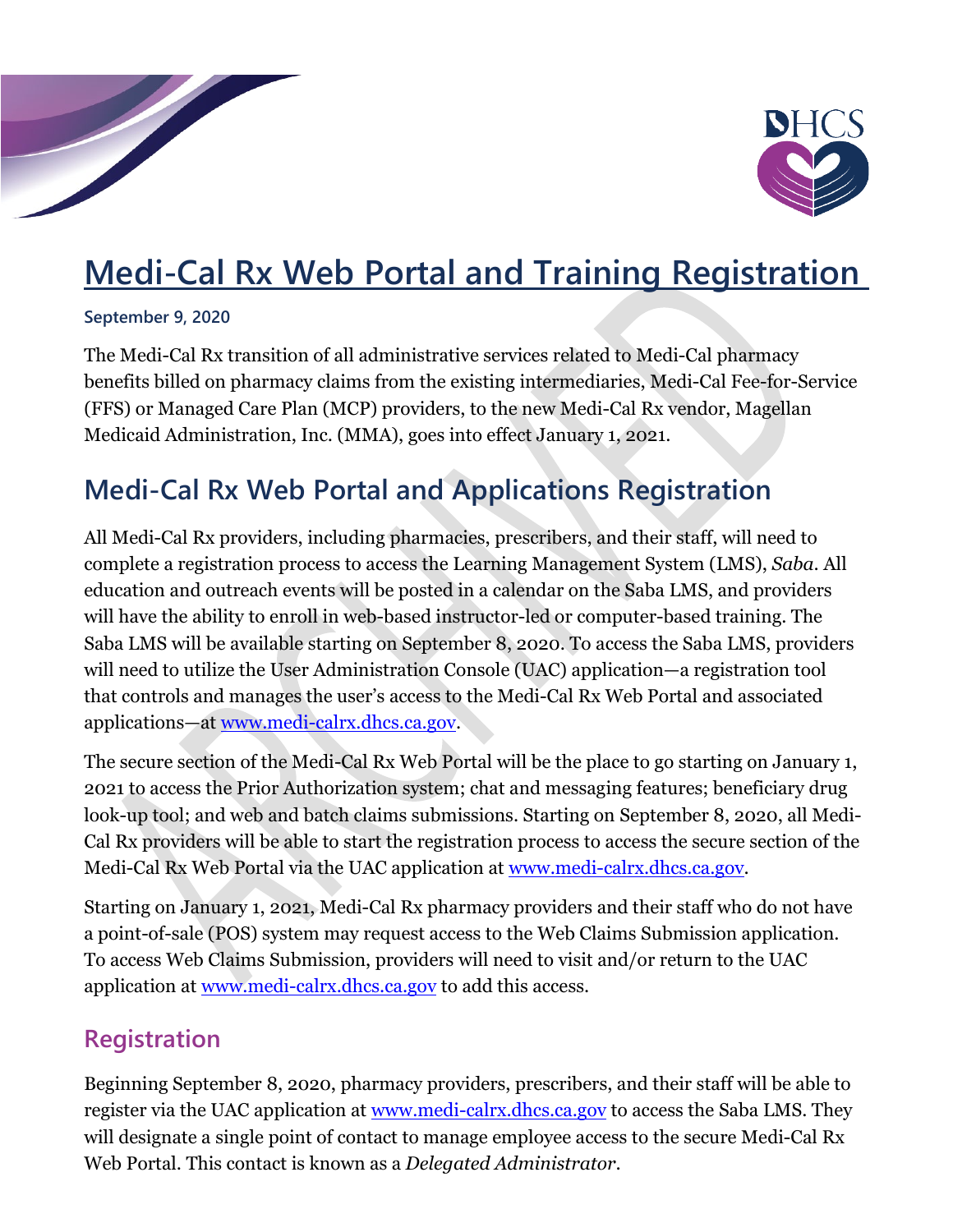

# **Medi-Cal Rx Web Portal and Training Registration**

#### **September 9, 2020**

The Medi-Cal Rx transition of all administrative services related to Medi-Cal pharmacy benefits billed on pharmacy claims from the existing intermediaries, Medi-Cal Fee-for-Service (FFS) or Managed Care Plan (MCP) providers, to the new Medi-Cal Rx vendor, Magellan Medicaid Administration, Inc. (MMA), goes into effect January 1, 2021.

# **Medi-Cal Rx Web Portal and Applications Registration**

All Medi-Cal Rx providers, including pharmacies, prescribers, and their staff, will need to complete a registration process to access the Learning Management System (LMS), *Saba*. All education and outreach events will be posted in a calendar on the Saba LMS, and providers will have the ability to enroll in web-based instructor-led or computer-based training. The Saba LMS will be available starting on September 8, 2020. To access the Saba LMS, providers will need to utilize the User Administration Console (UAC) application—a registration tool that controls and manages the user's access to the Medi-Cal Rx Web Portal and associated applications—at [www.medi-calrx.dhcs.ca.gov.](http://www.medi-calrx.dhcs.ca.gov/)

The secure section of the Medi-Cal Rx Web Portal will be the place to go starting on January 1, 2021 to access the Prior Authorization system; chat and messaging features; beneficiary drug look-up tool; and web and batch claims submissions. Starting on September 8, 2020, all Medi-Cal Rx providers will be able to start the registration process to access the secure section of the Medi-Cal Rx Web Portal via the UAC application at [www.medi-calrx.dhcs.ca.gov.](http://www.medi-calrx.dhcs.ca.gov/)

Starting on January 1, 2021, Medi-Cal Rx pharmacy providers and their staff who do not have a point-of-sale (POS) system may request access to the Web Claims Submission application. To access Web Claims Submission, providers will need to visit and/or return to the UAC application at [www.medi-calrx.dhcs.ca.gov](http://www.medi-calrx.dhcs.ca.gov/) to add this access.

### **Registration**

Beginning September 8, 2020, pharmacy providers, prescribers, and their staff will be able to register via the UAC application at [www.medi-calrx.dhcs.ca.gov](http://www.medi-calrx.dhcs.ca.gov/) to access the Saba LMS. They will designate a single point of contact to manage employee access to the secure Medi-Cal Rx Web Portal. This contact is known as a *Delegated Administrator*.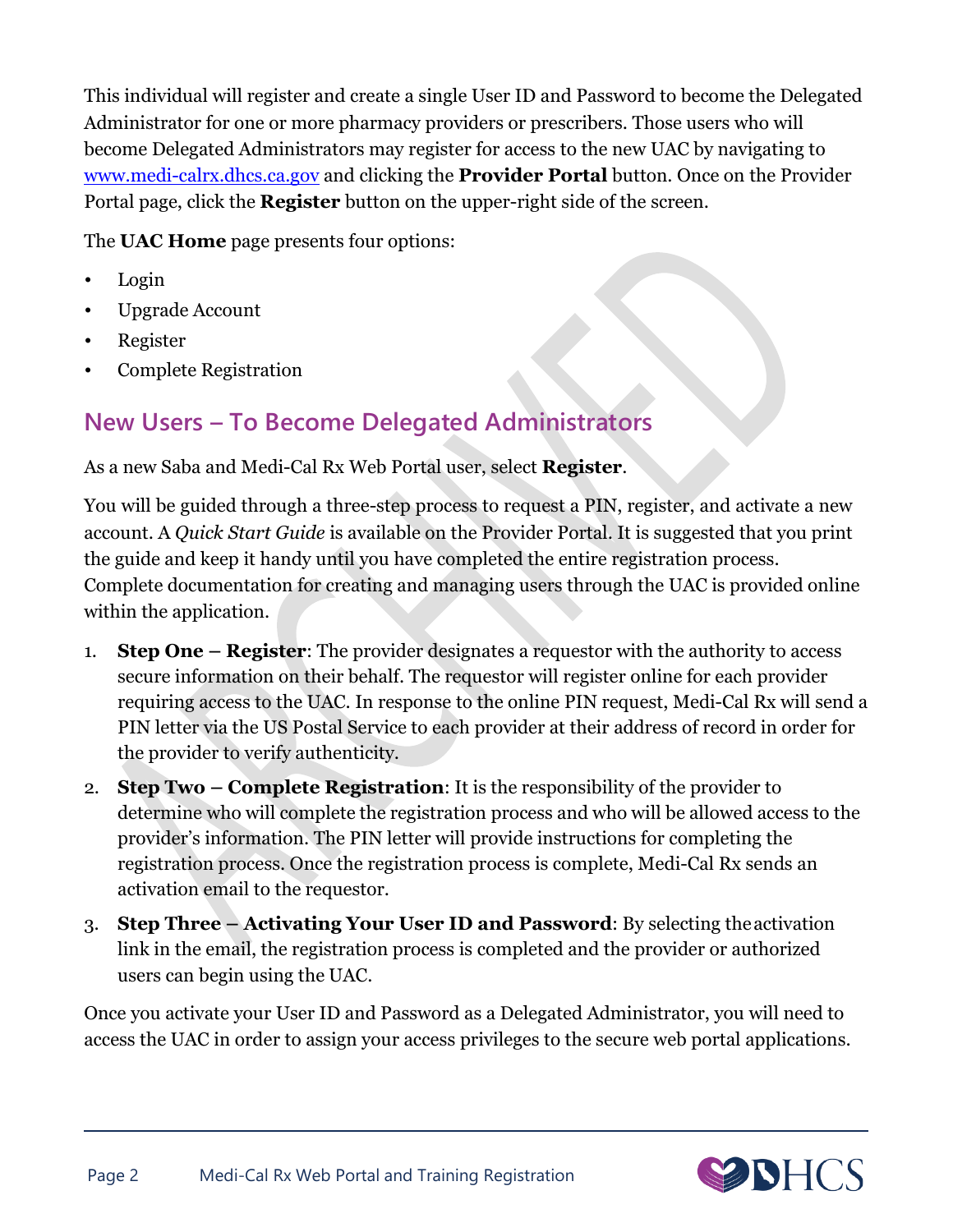This individual will register and create a single User ID and Password to become the Delegated Administrator for one or more pharmacy providers or prescribers. Those users who will become Delegated Administrators may register for access to the new UAC by navigating to [www.medi-calrx.dhcs.ca.gov](http://www.medi-calrx.dhcs.ca.gov/) and clicking the **Provider Portal** button. Once on the Provider Portal page, click the **Register** button on the upper-right side of the screen.

The **UAC Home** page presents four options:

- Login
- Upgrade Account
- Register
- Complete Registration

## **New Users – To Become Delegated Administrators**

As a new Saba and Medi-Cal Rx Web Portal user, select **Register**.

You will be guided through a three-step process to request a PIN, register, and activate a new account. A *Quick Start Guide* is available on the Provider Portal. It is suggested that you print the guide and keep it handy until you have completed the entire registration process. Complete documentation for creating and managing users through the UAC is provided online within the application.

- 1. **Step One – Register**: The provider designates a requestor with the authority to access secure information on their behalf. The requestor will register online for each provider requiring access to the UAC. In response to the online PIN request, Medi-Cal Rx will send a PIN letter via the US Postal Service to each provider at their address of record in order for the provider to verify authenticity.
- 2. **Step Two – Complete Registration**: It is the responsibility of the provider to determine who will complete the registration process and who will be allowed access to the provider's information. The PIN letter will provide instructions for completing the registration process. Once the registration process is complete, Medi-Cal Rx sends an activation email to the requestor.
- 3. **Step Three – Activating Your User ID and Password**: By selecting theactivation link in the email, the registration process is completed and the provider or authorized users can begin using the UAC.

Once you activate your User ID and Password as a Delegated Administrator, you will need to access the UAC in order to assign your access privileges to the secure web portal applications.

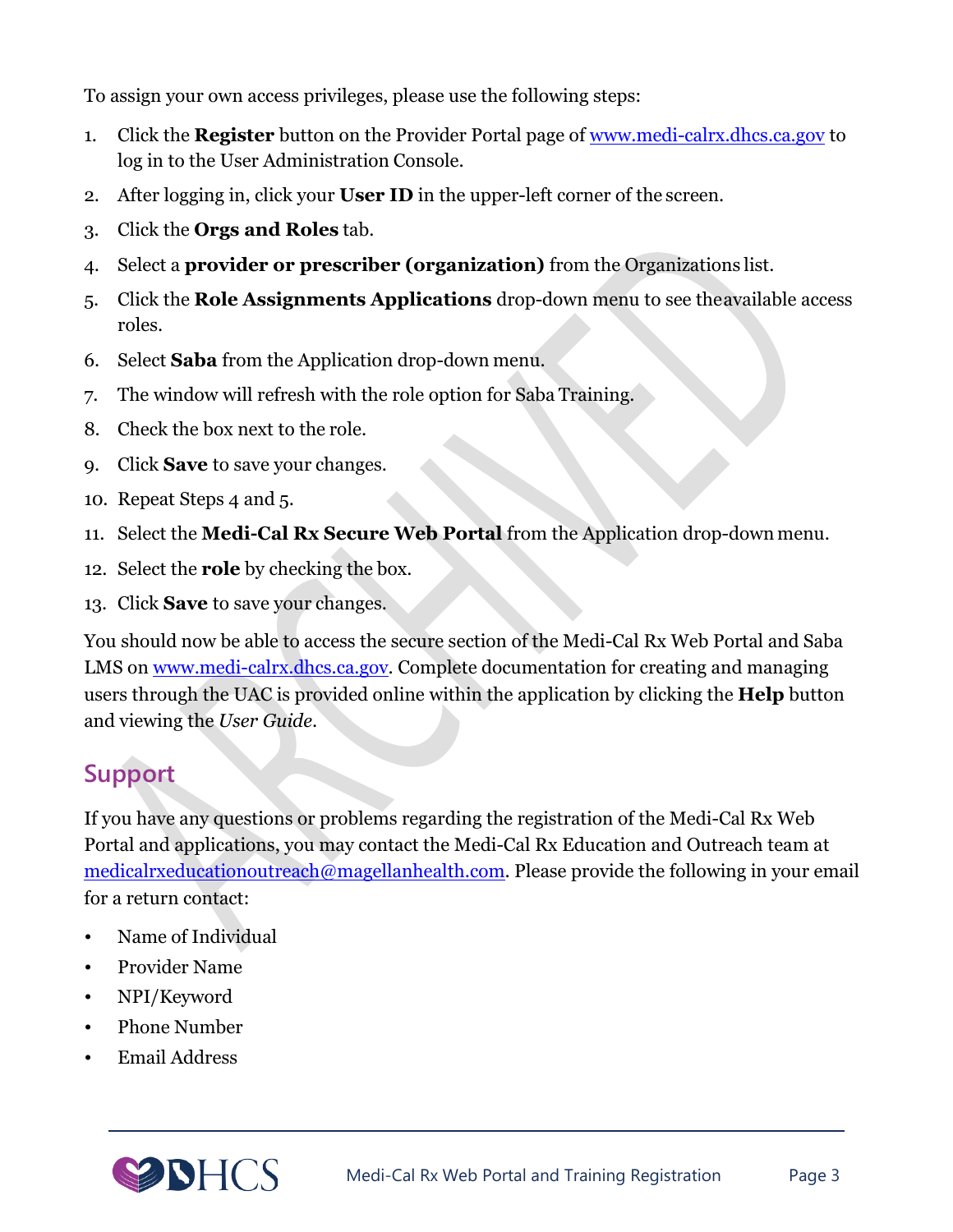To assign your own access privileges, please use the following steps:

- 1. Click the **Register** button on the Provider Portal page of [www.medi-calrx.dhcs.ca.gov](http://www.medi-calrx.dhcs.ca.gov/) to log in to the User Administration Console.
- 2. After logging in, click your **User ID** in the upper-left corner of the screen.
- 3. Click the **Orgs and Roles** tab.
- 4. Select a **provider or prescriber (organization)** from the Organizations list.
- 5. Click the **Role Assignments Applications** drop-down menu to see theavailable access roles.
- 6. Select **Saba** from the Application drop-down menu.
- 7. The window will refresh with the role option for Saba Training.
- 8. Check the box next to the role.
- 9. Click **Save** to save your changes.
- 10. Repeat Steps 4 and 5.
- 11. Select the **Medi-Cal Rx Secure Web Portal** from the Application drop-down menu.
- 12. Select the **role** by checking the box.
- 13. Click **Save** to save your changes.

You should now be able to access the secure section of the Medi-Cal Rx Web Portal and Saba LMS on [www.medi-calrx.dhcs.ca.gov.](http://www.medi-calrx.dhcs.ca.gov/) Complete documentation for creating and managing users through the UAC is provided online within the application by clicking the **Help** button and viewing the *User Guide*.

# **Support**

If you have any questions or problems regarding the registration of the Medi-Cal Rx Web Portal and applications, you may contact the Medi-Cal Rx Education and Outreach team at [medicalrxeducationoutreach@magellanhealth.com.](mailto:MediCalRxEducationOutreach@magellanhealth.com) Please provide the following in your email for a return contact:

- Name of Individual
- Provider Name
- NPI/Keyword
- Phone Number
- Email Address

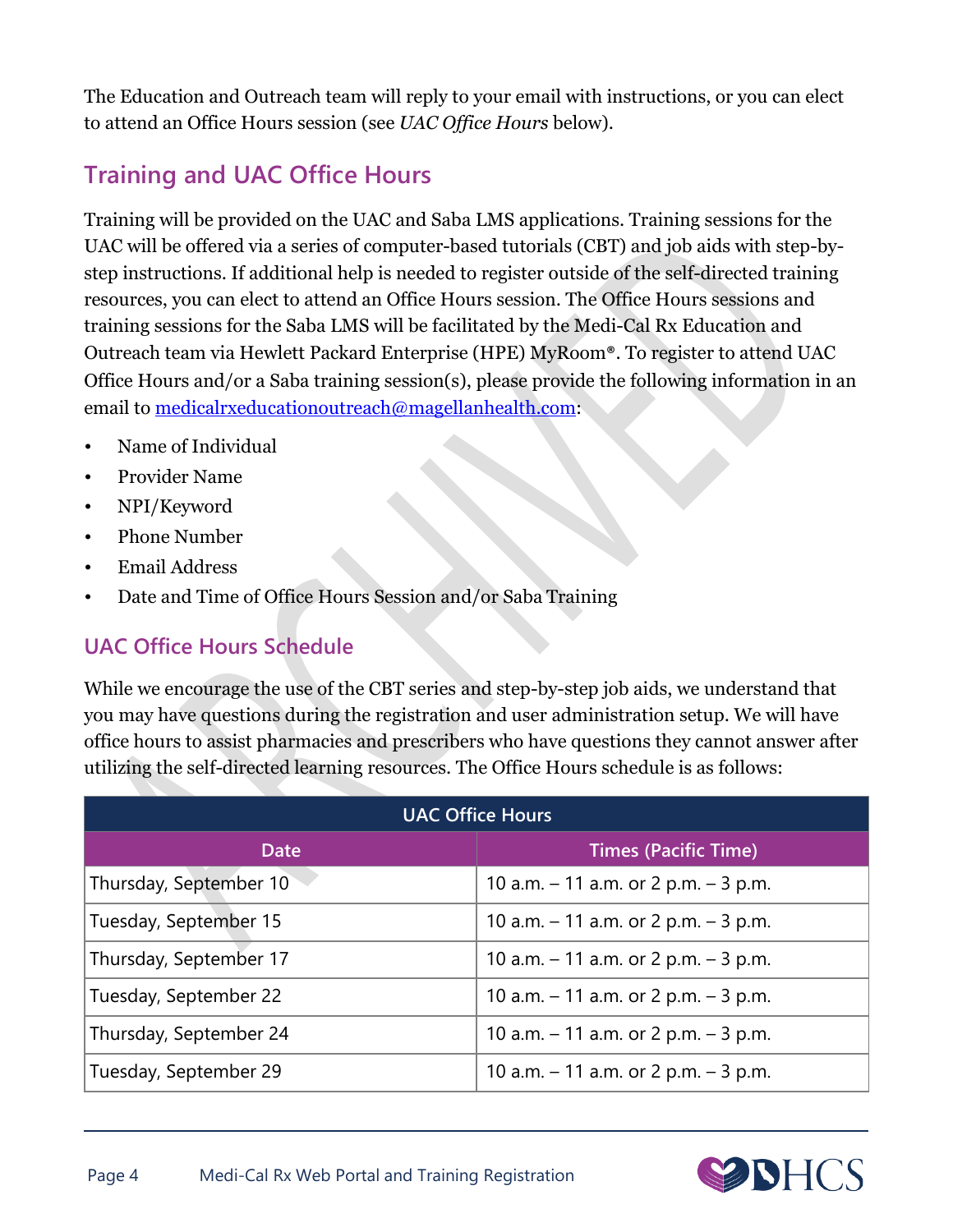The Education and Outreach team will reply to your email with instructions, or you can elect to attend an Office Hours session (see *UAC Office Hours* below).

## **Training and UAC Office Hours**

Training will be provided on the UAC and Saba LMS applications. Training sessions for the UAC will be offered via a series of computer-based tutorials (CBT) and job aids with step-bystep instructions. If additional help is needed to register outside of the self-directed training resources, you can elect to attend an Office Hours session. The Office Hours sessions and training sessions for the Saba LMS will be facilitated by the Medi-Cal Rx Education and Outreach team via Hewlett Packard Enterprise (HPE) MyRoom®. To register to attend UAC Office Hours and/or a Saba training session(s), please provide the following information in an email to [medicalrxeducationoutreach@magellanhealth.com:](mailto:medicalrxeducationoutreach@magellanhealth.com)

- Name of Individual
- Provider Name
- NPI/Keyword
- Phone Number
- Email Address
- Date and Time of Office Hours Session and/or Saba Training

#### **UAC Office Hours Schedule**

While we encourage the use of the CBT series and step-by-step job aids, we understand that you may have questions during the registration and user administration setup. We will have office hours to assist pharmacies and prescribers who have questions they cannot answer after utilizing the self-directed learning resources. The Office Hours schedule is as follows:

| <b>UAC Office Hours</b> |                                          |
|-------------------------|------------------------------------------|
| <b>Date</b>             | <b>Times (Pacific Time)</b>              |
| Thursday, September 10  | 10 a.m. $-$ 11 a.m. or 2 p.m. $-$ 3 p.m. |
| Tuesday, September 15   | 10 a.m. $-$ 11 a.m. or 2 p.m. $-$ 3 p.m. |
| Thursday, September 17  | 10 a.m. $-$ 11 a.m. or 2 p.m. $-$ 3 p.m. |
| Tuesday, September 22   | 10 a.m. $-$ 11 a.m. or 2 p.m. $-$ 3 p.m. |
| Thursday, September 24  | 10 a.m. $-$ 11 a.m. or 2 p.m. $-$ 3 p.m. |
| Tuesday, September 29   | 10 a.m. $-$ 11 a.m. or 2 p.m. $-$ 3 p.m. |